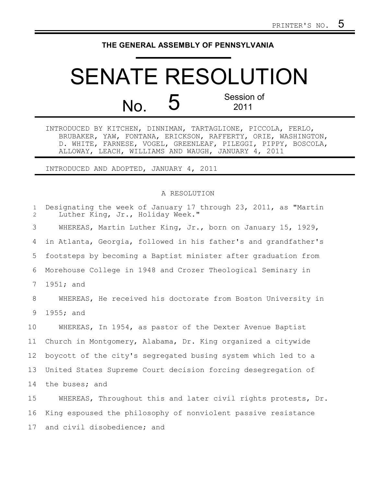## **THE GENERAL ASSEMBLY OF PENNSYLVANIA**

## SENATE RESOLUTION  $N<sub>O</sub>$  5 Session of 2011

INTRODUCED BY KITCHEN, DINNIMAN, TARTAGLIONE, PICCOLA, FERLO, BRUBAKER, YAW, FONTANA, ERICKSON, RAFFERTY, ORIE, WASHINGTON, D. WHITE, FARNESE, VOGEL, GREENLEAF, PILEGGI, PIPPY, BOSCOLA, ALLOWAY, LEACH, WILLIAMS AND WAUGH, JANUARY 4, 2011

INTRODUCED AND ADOPTED, JANUARY 4, 2011

## A RESOLUTION

Designating the week of January 17 through 23, 2011, as "Martin Luther King, Jr., Holiday Week." WHEREAS, Martin Luther King, Jr., born on January 15, 1929, in Atlanta, Georgia, followed in his father's and grandfather's footsteps by becoming a Baptist minister after graduation from Morehouse College in 1948 and Crozer Theological Seminary in 1951; and WHEREAS, He received his doctorate from Boston University in 1955; and WHEREAS, In 1954, as pastor of the Dexter Avenue Baptist Church in Montgomery, Alabama, Dr. King organized a citywide boycott of the city's segregated busing system which led to a United States Supreme Court decision forcing desegregation of the buses; and WHEREAS, Throughout this and later civil rights protests, Dr. King espoused the philosophy of nonviolent passive resistance and civil disobedience; and 1 2 3 4 5 6 7 8 9 10 11 12 13 14 15 16 17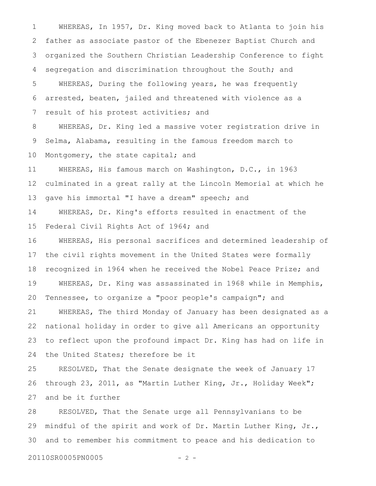WHEREAS, In 1957, Dr. King moved back to Atlanta to join his father as associate pastor of the Ebenezer Baptist Church and organized the Southern Christian Leadership Conference to fight segregation and discrimination throughout the South; and WHEREAS, During the following years, he was frequently arrested, beaten, jailed and threatened with violence as a result of his protest activities; and WHEREAS, Dr. King led a massive voter registration drive in Selma, Alabama, resulting in the famous freedom march to Montgomery, the state capital; and WHEREAS, His famous march on Washington, D.C., in 1963 culminated in a great rally at the Lincoln Memorial at which he 1 2 3 4 5 6 7 8 9 10 11 12

gave his immortal "I have a dream" speech; and 13

WHEREAS, Dr. King's efforts resulted in enactment of the Federal Civil Rights Act of 1964; and 14 15

WHEREAS, His personal sacrifices and determined leadership of the civil rights movement in the United States were formally recognized in 1964 when he received the Nobel Peace Prize; and WHEREAS, Dr. King was assassinated in 1968 while in Memphis, Tennessee, to organize a "poor people's campaign"; and WHEREAS, The third Monday of January has been designated as a 16 17 18 19 20 21

national holiday in order to give all Americans an opportunity to reflect upon the profound impact Dr. King has had on life in the United States; therefore be it 22 23 24

RESOLVED, That the Senate designate the week of January 17 through 23, 2011, as "Martin Luther King, Jr., Holiday Week"; and be it further 25 26 27

RESOLVED, That the Senate urge all Pennsylvanians to be mindful of the spirit and work of Dr. Martin Luther King, Jr., and to remember his commitment to peace and his dedication to 28 29 30

20110SR0005PN0005 - 2 -